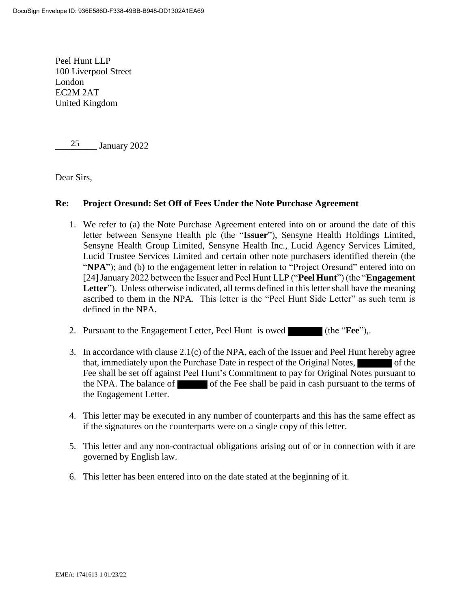Peel Hunt LLP 100 Liverpool Street London EC2M 2AT United Kingdom

January 2022 25

Dear Sirs,

## **Re: Project Oresund: Set Off of Fees Under the Note Purchase Agreement**

- 1. We refer to (a) the Note Purchase Agreement entered into on or around the date of this letter between Sensyne Health plc (the "**Issuer**"), Sensyne Health Holdings Limited, Sensyne Health Group Limited, Sensyne Health Inc., Lucid Agency Services Limited, Lucid Trustee Services Limited and certain other note purchasers identified therein (the "**NPA**"); and (b) to the engagement letter in relation to "Project Oresund" entered into on [24]January 2022 between the Issuer and Peel Hunt LLP ("**Peel Hunt**") (the "**Engagement Letter**"). Unless otherwise indicated, all terms defined in this letter shall have the meaning ascribed to them in the NPA. This letter is the "Peel Hunt Side Letter" as such term is defined in the NPA.
- 2. Pursuant to the Engagement Letter, Peel Hunt is owed (the "**Fee**"),.
- 3. In accordance with clause 2.1(c) of the NPA, each of the Issuer and Peel Hunt hereby agree that, immediately upon the Purchase Date in respect of the Original Notes, Fee shall be set off against Peel Hunt's Commitment to pay for Original Notes pursuant to the NPA. The balance of of the Fee shall be paid in cash pursuant to the terms of the Engagement Letter.
- 4. This letter may be executed in any number of counterparts and this has the same effect as if the signatures on the counterparts were on a single copy of this letter.
- 5. This letter and any non-contractual obligations arising out of or in connection with it are governed by English law.
- 6. This letter has been entered into on the date stated at the beginning of it.